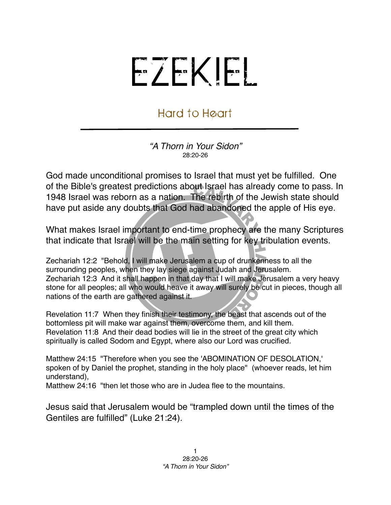## EZEKIEL

## Hard to Heart

*"A Thorn in Your Sidon"* 28:20-26

God made unconditional promises to Israel that must yet be fulfilled. One of the Bible's greatest predictions about Israel has already come to pass. In 1948 Israel was reborn as a nation. The rebirth of the Jewish state should have put aside any doubts that God had abandoned the apple of His eye.

What makes Israel important to end-time prophecy are the many Scriptures that indicate that Israel will be the main setting for key tribulation events.

Zechariah 12:2 "Behold, I will make Jerusalem a cup of drunkenness to all the surrounding peoples, when they lay siege against Judah and Jerusalem. Zechariah 12:3 And it shall happen in that day that I will make Jerusalem a very heavy stone for all peoples; all who would heave it away will surely be cut in pieces, though all nations of the earth are gathered against it.

Revelation 11:7 When they finish their testimony, the beast that ascends out of the bottomless pit will make war against them, overcome them, and kill them. Revelation 11:8 And their dead bodies will lie in the street of the great city which spiritually is called Sodom and Egypt, where also our Lord was crucified.

Matthew 24:15 "Therefore when you see the 'ABOMINATION OF DESOLATION,' spoken of by Daniel the prophet, standing in the holy place" (whoever reads, let him understand),

Matthew 24:16 "then let those who are in Judea flee to the mountains.

Jesus said that Jerusalem would be "trampled down until the times of the Gentiles are fulfilled" (Luke 21:24).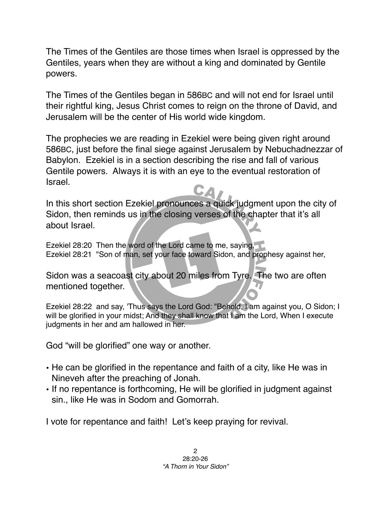The Times of the Gentiles are those times when Israel is oppressed by the Gentiles, years when they are without a king and dominated by Gentile powers.

The Times of the Gentiles began in 586BC and will not end for Israel until their rightful king, Jesus Christ comes to reign on the throne of David, and Jerusalem will be the center of His world wide kingdom.

The prophecies we are reading in Ezekiel were being given right around 586BC, just before the final siege against Jerusalem by Nebuchadnezzar of Babylon. Ezekiel is in a section describing the rise and fall of various Gentile powers. Always it is with an eye to the eventual restoration of Israel.

In this short section Ezekiel pronounces a quick judgment upon the city of Sidon, then reminds us in the closing verses of the chapter that it's all about Israel.

Ezekiel 28:20 Then the word of the Lord came to me, saying, Ezekiel 28:21 "Son of man, set your face toward Sidon, and prophesy against her,

Sidon was a seacoast city about 20 miles from Tyre. The two are often mentioned together.

Ezekiel 28:22 and say, 'Thus says the Lord God: "Behold, I am against you, O Sidon; I will be glorified in your midst; And they shall know that I am the Lord, When I execute judgments in her and am hallowed in her.

God "will be glorified" one way or another.

- He can be glorified in the repentance and faith of a city, like He was in Nineveh after the preaching of Jonah.
- If no repentance is forthcoming, He will be glorified in judgment against sin., like He was in Sodom and Gomorrah.

I vote for repentance and faith! Let's keep praying for revival.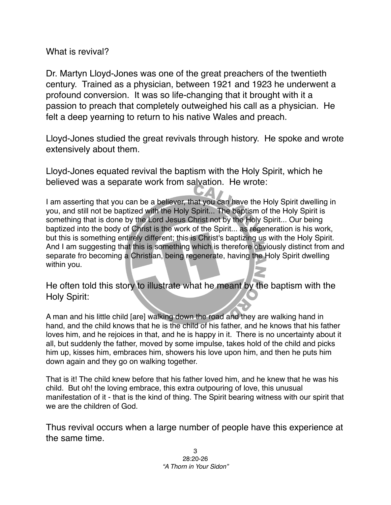What is revival?

Dr. Martyn Lloyd-Jones was one of the great preachers of the twentieth century. Trained as a physician, between 1921 and 1923 he underwent a profound conversion. It was so life-changing that it brought with it a passion to preach that completely outweighed his call as a physician. He felt a deep yearning to return to his native Wales and preach.

Lloyd-Jones studied the great revivals through history. He spoke and wrote extensively about them.

Lloyd-Jones equated revival the baptism with the Holy Spirit, which he believed was a separate work from salvation. He wrote:

I am asserting that you can be a believer, that you can have the Holy Spirit dwelling in you, and still not be baptized with the Holy Spirit... The baptism of the Holy Spirit is something that is done by the Lord Jesus Christ not by the Holy Spirit... Our being baptized into the body of Christ is the work of the Spirit... as regeneration is his work, but this is something entirely different; this is Christ's baptizing us with the Holy Spirit. And I am suggesting that this is something which is therefore obviously distinct from and separate fro becoming a Christian, being regenerate, having the Holy Spirit dwelling within you.

He often told this story to illustrate what he meant by the baptism with the Holy Spirit:

A man and his little child [are] walking down the road and they are walking hand in hand, and the child knows that he is the child of his father, and he knows that his father loves him, and he rejoices in that, and he is happy in it. There is no uncertainty about it all, but suddenly the father, moved by some impulse, takes hold of the child and picks him up, kisses him, embraces him, showers his love upon him, and then he puts him down again and they go on walking together.

That is it! The child knew before that his father loved him, and he knew that he was his child. But oh! the loving embrace, this extra outpouring of love, this unusual manifestation of it - that is the kind of thing. The Spirit bearing witness with our spirit that we are the children of God.

Thus revival occurs when a large number of people have this experience at the same time.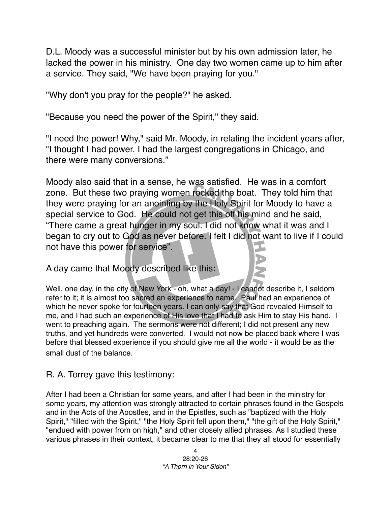D.L. Moody was a successful minister but by his own admission later, he lacked the power in his ministry. One day two women came up to him after a service. They said, "We have been praying for you."

"Why don't you pray for the people?" he asked.

"Because you need the power of the Spirit," they said.

"I need the power! Why," said Mr. Moody, in relating the incident years after, "I thought I had power. I had the largest congregations in Chicago, and there were many conversions."

Moody also said that in a sense, he was satisfied. He was in a comfort zone. But these two praying women rocked the boat. They told him that they were praying for an anointing by the Holy Spirit for Moody to have a special service to God. He could not get this off his mind and he said, "There came a great hunger in my soul. I did not know what it was and I began to cry out to God as never before. I felt I did not want to live if I could not have this power for service".

A day came that Moody described like this:

Well, one day, in the city of New York - oh, what a day! - I cannot describe it, I seldom refer to it; it is almost too sacred an experience to name. Paul had an experience of which he never spoke for fourteen years. I can only say that God revealed Himself to me, and I had such an experience of His love that I had to ask Him to stay His hand. I went to preaching again. The sermons were not different; I did not present any new truths, and yet hundreds were converted. I would not now be placed back where I was before that blessed experience if you should give me all the world - it would be as the small dust of the balance.

R. A. Torrey gave this testimony:

After I had been a Christian for some years, and after I had been in the ministry for some years, my attention was strongly attracted to certain phrases found in the Gospels and in the Acts of the Apostles, and in the Epistles, such as "baptized with the Holy Spirit," "filled with the Spirit," "the Holy Spirit fell upon them," "the gift of the Holy Spirit," "endued with power from on high," and other closely allied phrases. As I studied these various phrases in their context, it became clear to me that they all stood for essentially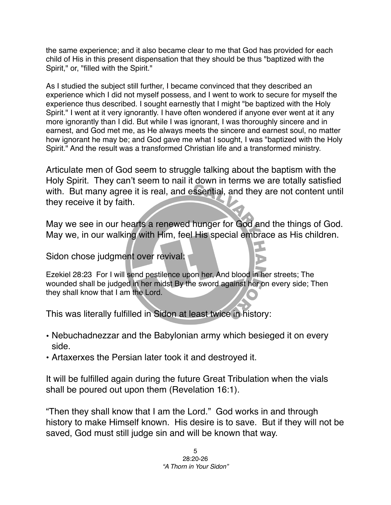the same experience; and it also became clear to me that God has provided for each child of His in this present dispensation that they should be thus "baptized with the Spirit," or, "filled with the Spirit."

As I studied the subject still further, I became convinced that they described an experience which I did not myself possess, and I went to work to secure for myself the experience thus described. I sought earnestly that I might "be baptized with the Holy Spirit." I went at it very ignorantly. I have often wondered if anyone ever went at it any more ignorantly than I did. But while I was ignorant, I was thoroughly sincere and in earnest, and God met me, as He always meets the sincere and earnest soul, no matter how ignorant he may be; and God gave me what I sought, I was "baptized with the Holy Spirit." And the result was a transformed Christian life and a transformed ministry.

Articulate men of God seem to struggle talking about the baptism with the Holy Spirit. They can't seem to nail it down in terms we are totally satisfied with. But many agree it is real, and essential, and they are not content until they receive it by faith.

May we see in our hearts a renewed hunger for God and the things of God. May we, in our walking with Him, feel His special embrace as His children.

Sidon chose judgment over revival:

Ezekiel 28:23 For I will send pestilence upon her, And blood in her streets; The wounded shall be judged in her midst By the sword against her on every side; Then they shall know that I am the Lord.

This was literally fulfilled in Sidon at least twice in history:

- Nebuchadnezzar and the Babylonian army which besieged it on every side.
- Artaxerxes the Persian later took it and destroyed it.

It will be fulfilled again during the future Great Tribulation when the vials shall be poured out upon them (Revelation 16:1).

"Then they shall know that I am the Lord." God works in and through history to make Himself known. His desire is to save. But if they will not be saved, God must still judge sin and will be known that way.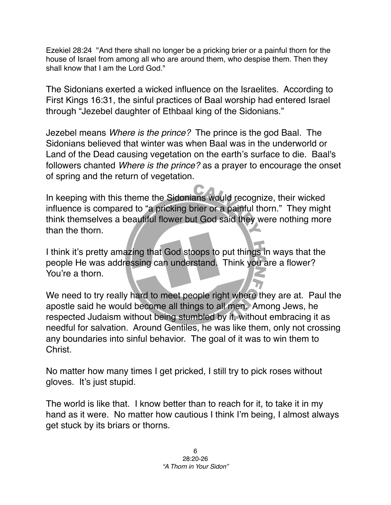Ezekiel 28:24 "And there shall no longer be a pricking brier or a painful thorn for the house of Israel from among all who are around them, who despise them. Then they shall know that I am the Lord God."

The Sidonians exerted a wicked influence on the Israelites. According to First Kings 16:31, the sinful practices of Baal worship had entered Israel through "Jezebel daughter of Ethbaal king of the Sidonians."

Jezebel means *Where is the prince?* The prince is the god Baal. The Sidonians believed that winter was when Baal was in the underworld or Land of the Dead causing vegetation on the earth's surface to die. Baal's followers chanted *Where is the prince?* as a prayer to encourage the onset of spring and the return of vegetation.

In keeping with this theme the Sidonians would recognize, their wicked influence is compared to "a pricking brier or a painful thorn." They might think themselves a beautiful flower but God said they were nothing more than the thorn.

I think it's pretty amazing that God stoops to put things in ways that the people He was addressing can understand. Think you are a flower? You're a thorn.

We need to try really hard to meet people right where they are at. Paul the apostle said he would become all things to all men. Among Jews, he respected Judaism without being stumbled by it, without embracing it as needful for salvation. Around Gentiles, he was like them, only not crossing any boundaries into sinful behavior. The goal of it was to win them to Christ.

No matter how many times I get pricked, I still try to pick roses without gloves. It's just stupid.

The world is like that. I know better than to reach for it, to take it in my hand as it were. No matter how cautious I think I'm being, I almost always get stuck by its briars or thorns.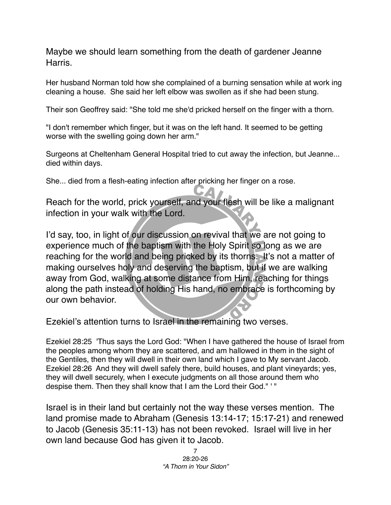Maybe we should learn something from the death of gardener Jeanne Harris.

Her husband Norman told how she complained of a burning sensation while at work ing cleaning a house. She said her left elbow was swollen as if she had been stung.

Their son Geoffrey said: "She told me she'd pricked herself on the finger with a thorn.

"I don't remember which finger, but it was on the left hand. It seemed to be getting worse with the swelling going down her arm."

Surgeons at Cheltenham General Hospital tried to cut away the infection, but Jeanne... died within days.

She... died from a flesh-eating infection after pricking her finger on a rose.

Reach for the world, prick yourself, and your flesh will be like a malignant infection in your walk with the Lord.

I'd say, too, in light of our discussion on revival that we are not going to experience much of the baptism with the Holy Spirit so long as we are reaching for the world and being pricked by its thorns. It's not a matter of making ourselves holy and deserving the baptism, but if we are walking away from God, walking at some distance from Him, reaching for things along the path instead of holding His hand, no embrace is forthcoming by our own behavior.

Ezekiel's attention turns to Israel in the remaining two verses.

Ezekiel 28:25 'Thus says the Lord God: "When I have gathered the house of Israel from the peoples among whom they are scattered, and am hallowed in them in the sight of the Gentiles, then they will dwell in their own land which I gave to My servant Jacob. Ezekiel 28:26 And they will dwell safely there, build houses, and plant vineyards; yes, they will dwell securely, when I execute judgments on all those around them who despise them. Then they shall know that I am the Lord their God." ' "

Israel is in their land but certainly not the way these verses mention. The land promise made to Abraham (Genesis 13:14-17; 15:17-21) and renewed to Jacob (Genesis 35:11-13) has not been revoked. Israel will live in her own land because God has given it to Jacob.